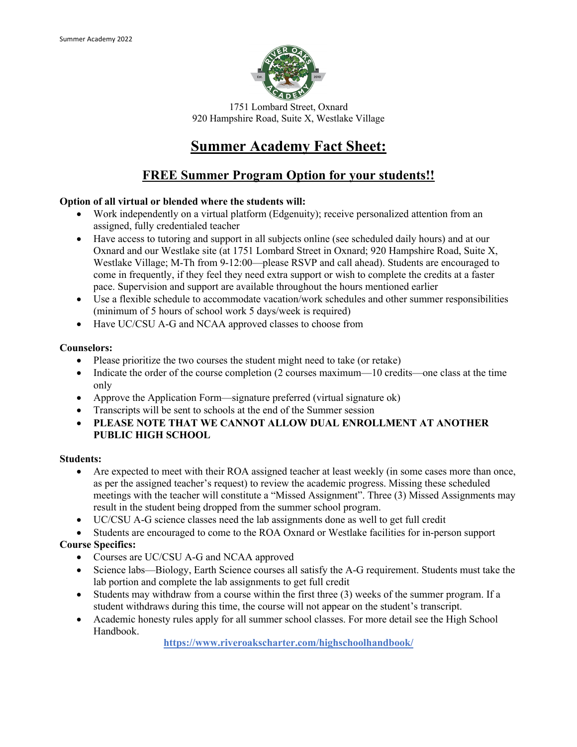

1751 Lombard Street, Oxnard 920 Hampshire Road, Suite X, Westlake Village

# **Summer Academy Fact Sheet:**

## **FREE Summer Program Option for your students!!**

#### **Option of all virtual or blended where the students will:**

- Work independently on a virtual platform (Edgenuity); receive personalized attention from an assigned, fully credentialed teacher
- Have access to tutoring and support in all subjects online (see scheduled daily hours) and at our Oxnard and our Westlake site (at 1751 Lombard Street in Oxnard; 920 Hampshire Road, Suite X, Westlake Village; M-Th from 9-12:00—please RSVP and call ahead). Students are encouraged to come in frequently, if they feel they need extra support or wish to complete the credits at a faster pace. Supervision and support are available throughout the hours mentioned earlier
- Use a flexible schedule to accommodate vacation/work schedules and other summer responsibilities (minimum of 5 hours of school work 5 days/week is required)
- Have UC/CSU A-G and NCAA approved classes to choose from

#### **Counselors:**

- Please prioritize the two courses the student might need to take (or retake)
- Indicate the order of the course completion (2 courses maximum—10 credits—one class at the time only
- Approve the Application Form—signature preferred (virtual signature ok)
- Transcripts will be sent to schools at the end of the Summer session
- **PLEASE NOTE THAT WE CANNOT ALLOW DUAL ENROLLMENT AT ANOTHER PUBLIC HIGH SCHOOL**

#### **Students:**

- Are expected to meet with their ROA assigned teacher at least weekly (in some cases more than once, as per the assigned teacher's request) to review the academic progress. Missing these scheduled meetings with the teacher will constitute a "Missed Assignment". Three (3) Missed Assignments may result in the student being dropped from the summer school program.
- UC/CSU A-G science classes need the lab assignments done as well to get full credit

• Students are encouraged to come to the ROA Oxnard or Westlake facilities for in-person support

### **Course Specifics:**

- Courses are UC/CSU A-G and NCAA approved
- Science labs—Biology, Earth Science courses all satisfy the A-G requirement. Students must take the lab portion and complete the lab assignments to get full credit
- Students may withdraw from a course within the first three (3) weeks of the summer program. If a student withdraws during this time, the course will not appear on the student's transcript.
- Academic honesty rules apply for all summer school classes. For more detail see the High School Handbook.

**https://www.riveroakscharter.com/highschoolhandbook/**